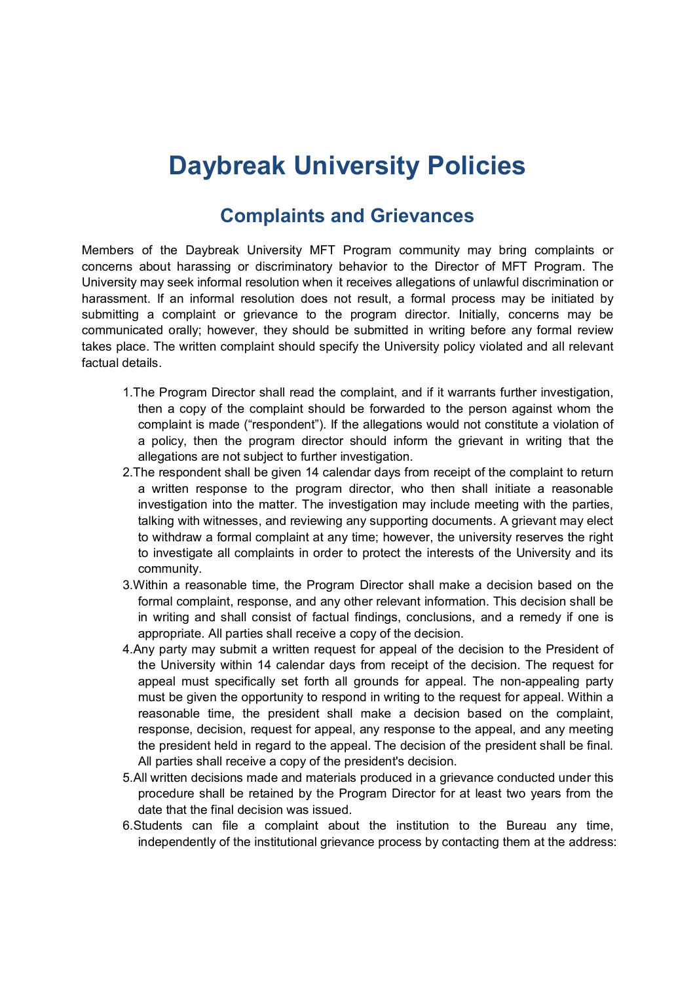# **Daybreak University Policies**

### **Complaints and Grievances**

Members of the Daybreak University MFT Program community may bring complaints or concerns about harassing or discriminatory behavior to the Director of MFT Program. The University may seek informal resolution when it receives allegations of unlawful discrimination or harassment. If an informal resolution does not result, a formal process may be initiated by submitting a complaint or grievance to the program director. Initially, concerns may be communicated orally; however, they should be submitted in writing before any formal review takes place. The written complaint should specify the University policy violated and all relevant factual details.

- 1.The Program Director shall read the complaint, and if it warrants further investigation, then a copy of the complaint should be forwarded to the person against whom the complaint is made ("respondent"). If the allegations would not constitute a violation of a policy, then the program director should inform the grievant in writing that the allegations are not subject to further investigation.
- 2.The respondent shall be given 14 calendar days from receipt of the complaint to return a written response to the program director, who then shall initiate a reasonable investigation into the matter. The investigation may include meeting with the parties, talking with witnesses, and reviewing any supporting documents. A grievant may elect to withdraw a formal complaint at any time; however, the university reserves the right to investigate all complaints in order to protect the interests of the University and its community.
- 3.Within a reasonable time, the Program Director shall make a decision based on the formal complaint, response, and any other relevant information. This decision shall be in writing and shall consist of factual findings, conclusions, and a remedy if one is appropriate. All parties shall receive a copy of the decision.
- 4.Any party may submit a written request for appeal of the decision to the President of the University within 14 calendar days from receipt of the decision. The request for appeal must specifically set forth all grounds for appeal. The non-appealing party must be given the opportunity to respond in writing to the request for appeal. Within a reasonable time, the president shall make a decision based on the complaint, response, decision, request for appeal, any response to the appeal, and any meeting the president held in regard to the appeal. The decision of the president shall be final. All parties shall receive a copy of the president's decision.
- 5.All written decisions made and materials produced in a grievance conducted under this procedure shall be retained by the Program Director for at least two years from the date that the final decision was issued.
- 6.Students can file a complaint about the institution to the Bureau any time, independently of the institutional grievance process by contacting them at the address: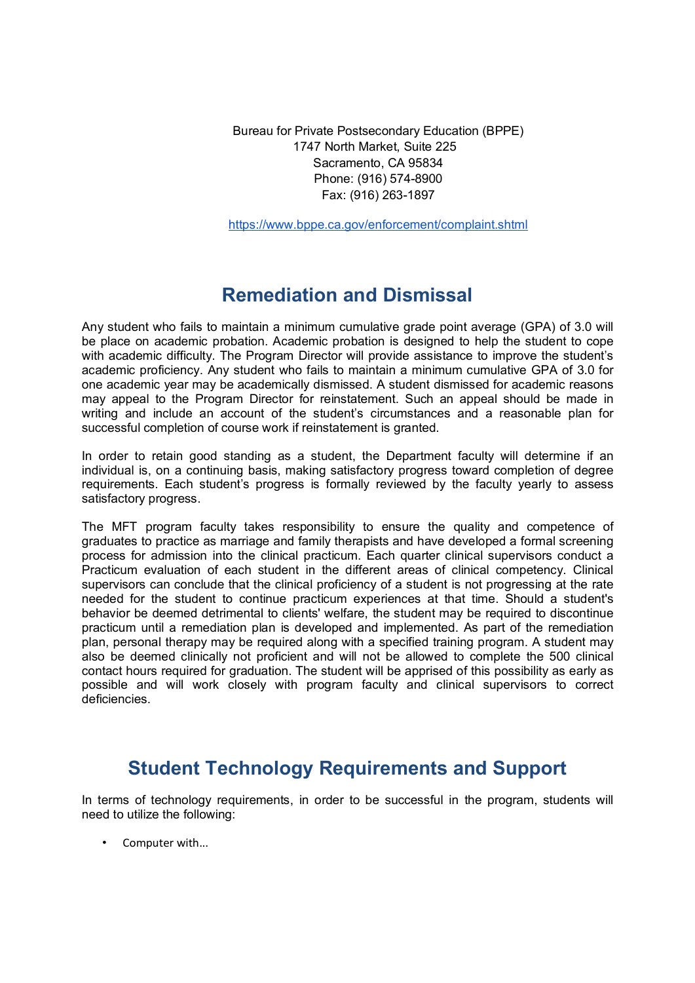Bureau for Private Postsecondary Education (BPPE) 1747 North Market, Suite 225 Sacramento, CA 95834 Phone: (916) 574-8900 Fax: (916) 263-1897

https://www.bppe.ca.gov/enforcement/complaint.shtml

## **Remediation and Dismissal**

Any student who fails to maintain a minimum cumulative grade point average (GPA) of 3.0 will be place on academic probation. Academic probation is designed to help the student to cope with academic difficulty. The Program Director will provide assistance to improve the student's academic proficiency. Any student who fails to maintain a minimum cumulative GPA of 3.0 for one academic year may be academically dismissed. A student dismissed for academic reasons may appeal to the Program Director for reinstatement. Such an appeal should be made in writing and include an account of the student's circumstances and a reasonable plan for successful completion of course work if reinstatement is granted.

In order to retain good standing as a student, the Department faculty will determine if an individual is, on a continuing basis, making satisfactory progress toward completion of degree requirements. Each student's progress is formally reviewed by the faculty yearly to assess satisfactory progress.

The MFT program faculty takes responsibility to ensure the quality and competence of graduates to practice as marriage and family therapists and have developed a formal screening process for admission into the clinical practicum. Each quarter clinical supervisors conduct a Practicum evaluation of each student in the different areas of clinical competency. Clinical supervisors can conclude that the clinical proficiency of a student is not progressing at the rate needed for the student to continue practicum experiences at that time. Should a student's behavior be deemed detrimental to clients' welfare, the student may be required to discontinue practicum until a remediation plan is developed and implemented. As part of the remediation plan, personal therapy may be required along with a specified training program. A student may also be deemed clinically not proficient and will not be allowed to complete the 500 clinical contact hours required for graduation. The student will be apprised of this possibility as early as possible and will work closely with program faculty and clinical supervisors to correct deficiencies.

## **Student Technology Requirements and Support**

In terms of technology requirements, in order to be successful in the program, students will need to utilize the following:

Computer with...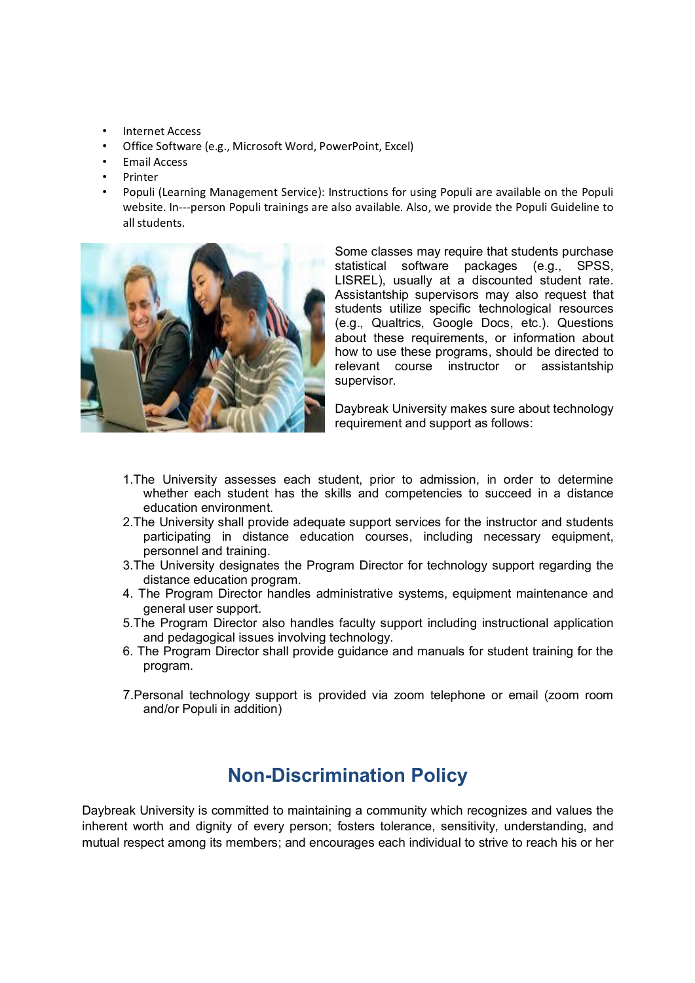- Internet Access
- Office Software (e.g., Microsoft Word, PowerPoint, Excel)
- Email Access
- **Printer**
- Populi (Learning Management Service): Instructions for using Populi are available on the Populi website. In---person Populi trainings are also available. Also, we provide the Populi Guideline to all students.



Some classes may require that students purchase statistical software packages (e.g., SPSS, LISREL), usually at a discounted student rate. Assistantship supervisors may also request that students utilize specific technological resources (e.g., Qualtrics, Google Docs, etc.). Questions about these requirements, or information about how to use these programs, should be directed to relevant course instructor or assistantship supervisor.

Daybreak University makes sure about technology requirement and support as follows:

- 1.The University assesses each student, prior to admission, in order to determine whether each student has the skills and competencies to succeed in a distance education environment.
- 2.The University shall provide adequate support services for the instructor and students participating in distance education courses, including necessary equipment, personnel and training.
- 3.The University designates the Program Director for technology support regarding the distance education program.
- 4. The Program Director handles administrative systems, equipment maintenance and general user support.
- 5.The Program Director also handles faculty support including instructional application and pedagogical issues involving technology.
- 6. The Program Director shall provide guidance and manuals for student training for the program.
- 7.Personal technology support is provided via zoom telephone or email (zoom room and/or Populi in addition)

## **Non-Discrimination Policy**

Daybreak University is committed to maintaining a community which recognizes and values the inherent worth and dignity of every person; fosters tolerance, sensitivity, understanding, and mutual respect among its members; and encourages each individual to strive to reach his or her